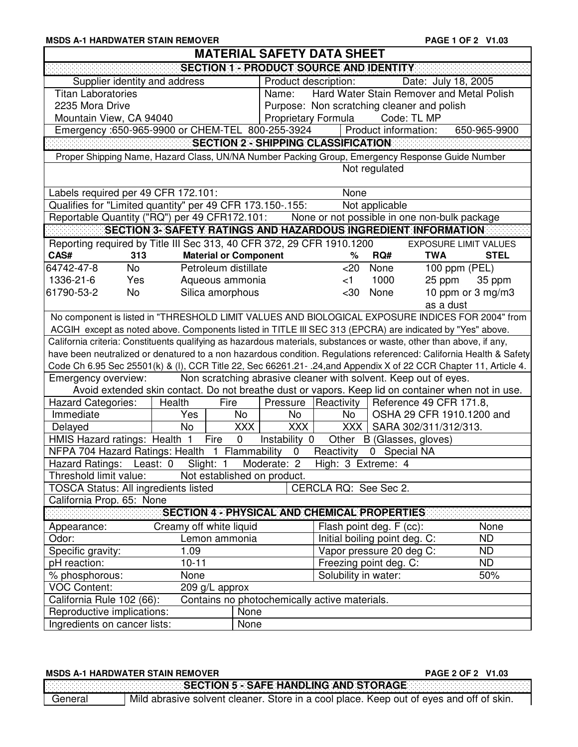|                                                     |                                                                                                                                                                                                                                                                                               | PAGE 1 OF 2 V1.03                                                                                                                                                                                                                                                                                                                                                                                                                                                                                                                                                                                                                                                                                                                                                                                                                                                                                                                                                                                                                                                                                                                                                                                                                                                                                                                                                                                                                                                                                                                                                                                                                                             |
|-----------------------------------------------------|-----------------------------------------------------------------------------------------------------------------------------------------------------------------------------------------------------------------------------------------------------------------------------------------------|---------------------------------------------------------------------------------------------------------------------------------------------------------------------------------------------------------------------------------------------------------------------------------------------------------------------------------------------------------------------------------------------------------------------------------------------------------------------------------------------------------------------------------------------------------------------------------------------------------------------------------------------------------------------------------------------------------------------------------------------------------------------------------------------------------------------------------------------------------------------------------------------------------------------------------------------------------------------------------------------------------------------------------------------------------------------------------------------------------------------------------------------------------------------------------------------------------------------------------------------------------------------------------------------------------------------------------------------------------------------------------------------------------------------------------------------------------------------------------------------------------------------------------------------------------------------------------------------------------------------------------------------------------------|
|                                                     |                                                                                                                                                                                                                                                                                               |                                                                                                                                                                                                                                                                                                                                                                                                                                                                                                                                                                                                                                                                                                                                                                                                                                                                                                                                                                                                                                                                                                                                                                                                                                                                                                                                                                                                                                                                                                                                                                                                                                                               |
|                                                     |                                                                                                                                                                                                                                                                                               |                                                                                                                                                                                                                                                                                                                                                                                                                                                                                                                                                                                                                                                                                                                                                                                                                                                                                                                                                                                                                                                                                                                                                                                                                                                                                                                                                                                                                                                                                                                                                                                                                                                               |
|                                                     | Date: July 18, 2005                                                                                                                                                                                                                                                                           |                                                                                                                                                                                                                                                                                                                                                                                                                                                                                                                                                                                                                                                                                                                                                                                                                                                                                                                                                                                                                                                                                                                                                                                                                                                                                                                                                                                                                                                                                                                                                                                                                                                               |
|                                                     |                                                                                                                                                                                                                                                                                               |                                                                                                                                                                                                                                                                                                                                                                                                                                                                                                                                                                                                                                                                                                                                                                                                                                                                                                                                                                                                                                                                                                                                                                                                                                                                                                                                                                                                                                                                                                                                                                                                                                                               |
|                                                     |                                                                                                                                                                                                                                                                                               |                                                                                                                                                                                                                                                                                                                                                                                                                                                                                                                                                                                                                                                                                                                                                                                                                                                                                                                                                                                                                                                                                                                                                                                                                                                                                                                                                                                                                                                                                                                                                                                                                                                               |
|                                                     | Code: TL MP                                                                                                                                                                                                                                                                                   |                                                                                                                                                                                                                                                                                                                                                                                                                                                                                                                                                                                                                                                                                                                                                                                                                                                                                                                                                                                                                                                                                                                                                                                                                                                                                                                                                                                                                                                                                                                                                                                                                                                               |
|                                                     |                                                                                                                                                                                                                                                                                               | 650-965-9900                                                                                                                                                                                                                                                                                                                                                                                                                                                                                                                                                                                                                                                                                                                                                                                                                                                                                                                                                                                                                                                                                                                                                                                                                                                                                                                                                                                                                                                                                                                                                                                                                                                  |
|                                                     |                                                                                                                                                                                                                                                                                               |                                                                                                                                                                                                                                                                                                                                                                                                                                                                                                                                                                                                                                                                                                                                                                                                                                                                                                                                                                                                                                                                                                                                                                                                                                                                                                                                                                                                                                                                                                                                                                                                                                                               |
|                                                     |                                                                                                                                                                                                                                                                                               |                                                                                                                                                                                                                                                                                                                                                                                                                                                                                                                                                                                                                                                                                                                                                                                                                                                                                                                                                                                                                                                                                                                                                                                                                                                                                                                                                                                                                                                                                                                                                                                                                                                               |
|                                                     |                                                                                                                                                                                                                                                                                               |                                                                                                                                                                                                                                                                                                                                                                                                                                                                                                                                                                                                                                                                                                                                                                                                                                                                                                                                                                                                                                                                                                                                                                                                                                                                                                                                                                                                                                                                                                                                                                                                                                                               |
|                                                     |                                                                                                                                                                                                                                                                                               |                                                                                                                                                                                                                                                                                                                                                                                                                                                                                                                                                                                                                                                                                                                                                                                                                                                                                                                                                                                                                                                                                                                                                                                                                                                                                                                                                                                                                                                                                                                                                                                                                                                               |
|                                                     |                                                                                                                                                                                                                                                                                               |                                                                                                                                                                                                                                                                                                                                                                                                                                                                                                                                                                                                                                                                                                                                                                                                                                                                                                                                                                                                                                                                                                                                                                                                                                                                                                                                                                                                                                                                                                                                                                                                                                                               |
|                                                     |                                                                                                                                                                                                                                                                                               |                                                                                                                                                                                                                                                                                                                                                                                                                                                                                                                                                                                                                                                                                                                                                                                                                                                                                                                                                                                                                                                                                                                                                                                                                                                                                                                                                                                                                                                                                                                                                                                                                                                               |
|                                                     |                                                                                                                                                                                                                                                                                               |                                                                                                                                                                                                                                                                                                                                                                                                                                                                                                                                                                                                                                                                                                                                                                                                                                                                                                                                                                                                                                                                                                                                                                                                                                                                                                                                                                                                                                                                                                                                                                                                                                                               |
|                                                     |                                                                                                                                                                                                                                                                                               |                                                                                                                                                                                                                                                                                                                                                                                                                                                                                                                                                                                                                                                                                                                                                                                                                                                                                                                                                                                                                                                                                                                                                                                                                                                                                                                                                                                                                                                                                                                                                                                                                                                               |
|                                                     |                                                                                                                                                                                                                                                                                               | <b>EXPOSURE LIMIT VALUES</b>                                                                                                                                                                                                                                                                                                                                                                                                                                                                                                                                                                                                                                                                                                                                                                                                                                                                                                                                                                                                                                                                                                                                                                                                                                                                                                                                                                                                                                                                                                                                                                                                                                  |
|                                                     |                                                                                                                                                                                                                                                                                               | <b>STEL</b>                                                                                                                                                                                                                                                                                                                                                                                                                                                                                                                                                                                                                                                                                                                                                                                                                                                                                                                                                                                                                                                                                                                                                                                                                                                                                                                                                                                                                                                                                                                                                                                                                                                   |
|                                                     |                                                                                                                                                                                                                                                                                               | 100 ppm (PEL)                                                                                                                                                                                                                                                                                                                                                                                                                                                                                                                                                                                                                                                                                                                                                                                                                                                                                                                                                                                                                                                                                                                                                                                                                                                                                                                                                                                                                                                                                                                                                                                                                                                 |
|                                                     |                                                                                                                                                                                                                                                                                               | 35 ppm                                                                                                                                                                                                                                                                                                                                                                                                                                                                                                                                                                                                                                                                                                                                                                                                                                                                                                                                                                                                                                                                                                                                                                                                                                                                                                                                                                                                                                                                                                                                                                                                                                                        |
|                                                     |                                                                                                                                                                                                                                                                                               | 10 ppm or 3 mg/m3                                                                                                                                                                                                                                                                                                                                                                                                                                                                                                                                                                                                                                                                                                                                                                                                                                                                                                                                                                                                                                                                                                                                                                                                                                                                                                                                                                                                                                                                                                                                                                                                                                             |
|                                                     |                                                                                                                                                                                                                                                                                               |                                                                                                                                                                                                                                                                                                                                                                                                                                                                                                                                                                                                                                                                                                                                                                                                                                                                                                                                                                                                                                                                                                                                                                                                                                                                                                                                                                                                                                                                                                                                                                                                                                                               |
|                                                     |                                                                                                                                                                                                                                                                                               |                                                                                                                                                                                                                                                                                                                                                                                                                                                                                                                                                                                                                                                                                                                                                                                                                                                                                                                                                                                                                                                                                                                                                                                                                                                                                                                                                                                                                                                                                                                                                                                                                                                               |
|                                                     |                                                                                                                                                                                                                                                                                               |                                                                                                                                                                                                                                                                                                                                                                                                                                                                                                                                                                                                                                                                                                                                                                                                                                                                                                                                                                                                                                                                                                                                                                                                                                                                                                                                                                                                                                                                                                                                                                                                                                                               |
|                                                     |                                                                                                                                                                                                                                                                                               |                                                                                                                                                                                                                                                                                                                                                                                                                                                                                                                                                                                                                                                                                                                                                                                                                                                                                                                                                                                                                                                                                                                                                                                                                                                                                                                                                                                                                                                                                                                                                                                                                                                               |
|                                                     |                                                                                                                                                                                                                                                                                               |                                                                                                                                                                                                                                                                                                                                                                                                                                                                                                                                                                                                                                                                                                                                                                                                                                                                                                                                                                                                                                                                                                                                                                                                                                                                                                                                                                                                                                                                                                                                                                                                                                                               |
|                                                     |                                                                                                                                                                                                                                                                                               |                                                                                                                                                                                                                                                                                                                                                                                                                                                                                                                                                                                                                                                                                                                                                                                                                                                                                                                                                                                                                                                                                                                                                                                                                                                                                                                                                                                                                                                                                                                                                                                                                                                               |
|                                                     |                                                                                                                                                                                                                                                                                               |                                                                                                                                                                                                                                                                                                                                                                                                                                                                                                                                                                                                                                                                                                                                                                                                                                                                                                                                                                                                                                                                                                                                                                                                                                                                                                                                                                                                                                                                                                                                                                                                                                                               |
|                                                     |                                                                                                                                                                                                                                                                                               |                                                                                                                                                                                                                                                                                                                                                                                                                                                                                                                                                                                                                                                                                                                                                                                                                                                                                                                                                                                                                                                                                                                                                                                                                                                                                                                                                                                                                                                                                                                                                                                                                                                               |
|                                                     |                                                                                                                                                                                                                                                                                               |                                                                                                                                                                                                                                                                                                                                                                                                                                                                                                                                                                                                                                                                                                                                                                                                                                                                                                                                                                                                                                                                                                                                                                                                                                                                                                                                                                                                                                                                                                                                                                                                                                                               |
|                                                     |                                                                                                                                                                                                                                                                                               |                                                                                                                                                                                                                                                                                                                                                                                                                                                                                                                                                                                                                                                                                                                                                                                                                                                                                                                                                                                                                                                                                                                                                                                                                                                                                                                                                                                                                                                                                                                                                                                                                                                               |
|                                                     |                                                                                                                                                                                                                                                                                               |                                                                                                                                                                                                                                                                                                                                                                                                                                                                                                                                                                                                                                                                                                                                                                                                                                                                                                                                                                                                                                                                                                                                                                                                                                                                                                                                                                                                                                                                                                                                                                                                                                                               |
|                                                     |                                                                                                                                                                                                                                                                                               |                                                                                                                                                                                                                                                                                                                                                                                                                                                                                                                                                                                                                                                                                                                                                                                                                                                                                                                                                                                                                                                                                                                                                                                                                                                                                                                                                                                                                                                                                                                                                                                                                                                               |
|                                                     |                                                                                                                                                                                                                                                                                               |                                                                                                                                                                                                                                                                                                                                                                                                                                                                                                                                                                                                                                                                                                                                                                                                                                                                                                                                                                                                                                                                                                                                                                                                                                                                                                                                                                                                                                                                                                                                                                                                                                                               |
|                                                     |                                                                                                                                                                                                                                                                                               |                                                                                                                                                                                                                                                                                                                                                                                                                                                                                                                                                                                                                                                                                                                                                                                                                                                                                                                                                                                                                                                                                                                                                                                                                                                                                                                                                                                                                                                                                                                                                                                                                                                               |
| Moderate: 2<br>High: 3 Extreme: 4                   |                                                                                                                                                                                                                                                                                               |                                                                                                                                                                                                                                                                                                                                                                                                                                                                                                                                                                                                                                                                                                                                                                                                                                                                                                                                                                                                                                                                                                                                                                                                                                                                                                                                                                                                                                                                                                                                                                                                                                                               |
| Not established on product.                         |                                                                                                                                                                                                                                                                                               |                                                                                                                                                                                                                                                                                                                                                                                                                                                                                                                                                                                                                                                                                                                                                                                                                                                                                                                                                                                                                                                                                                                                                                                                                                                                                                                                                                                                                                                                                                                                                                                                                                                               |
| CERCLA RQ: See Sec 2.                               |                                                                                                                                                                                                                                                                                               |                                                                                                                                                                                                                                                                                                                                                                                                                                                                                                                                                                                                                                                                                                                                                                                                                                                                                                                                                                                                                                                                                                                                                                                                                                                                                                                                                                                                                                                                                                                                                                                                                                                               |
|                                                     |                                                                                                                                                                                                                                                                                               |                                                                                                                                                                                                                                                                                                                                                                                                                                                                                                                                                                                                                                                                                                                                                                                                                                                                                                                                                                                                                                                                                                                                                                                                                                                                                                                                                                                                                                                                                                                                                                                                                                                               |
| <b>SECTION 4 - PHYSICAL AND CHEMICAL PROPERTIES</b> |                                                                                                                                                                                                                                                                                               |                                                                                                                                                                                                                                                                                                                                                                                                                                                                                                                                                                                                                                                                                                                                                                                                                                                                                                                                                                                                                                                                                                                                                                                                                                                                                                                                                                                                                                                                                                                                                                                                                                                               |
|                                                     | Flash point deg. F (cc):                                                                                                                                                                                                                                                                      | None                                                                                                                                                                                                                                                                                                                                                                                                                                                                                                                                                                                                                                                                                                                                                                                                                                                                                                                                                                                                                                                                                                                                                                                                                                                                                                                                                                                                                                                                                                                                                                                                                                                          |
|                                                     | Initial boiling point deg. C:                                                                                                                                                                                                                                                                 | N <sub>D</sub><br><b>ND</b>                                                                                                                                                                                                                                                                                                                                                                                                                                                                                                                                                                                                                                                                                                                                                                                                                                                                                                                                                                                                                                                                                                                                                                                                                                                                                                                                                                                                                                                                                                                                                                                                                                   |
| Freezing point deg. C:                              | Vapor pressure 20 deg C:                                                                                                                                                                                                                                                                      | ND.                                                                                                                                                                                                                                                                                                                                                                                                                                                                                                                                                                                                                                                                                                                                                                                                                                                                                                                                                                                                                                                                                                                                                                                                                                                                                                                                                                                                                                                                                                                                                                                                                                                           |
| Solubility in water:                                |                                                                                                                                                                                                                                                                                               | 50%                                                                                                                                                                                                                                                                                                                                                                                                                                                                                                                                                                                                                                                                                                                                                                                                                                                                                                                                                                                                                                                                                                                                                                                                                                                                                                                                                                                                                                                                                                                                                                                                                                                           |
|                                                     |                                                                                                                                                                                                                                                                                               |                                                                                                                                                                                                                                                                                                                                                                                                                                                                                                                                                                                                                                                                                                                                                                                                                                                                                                                                                                                                                                                                                                                                                                                                                                                                                                                                                                                                                                                                                                                                                                                                                                                               |
| Contains no photochemically active materials.       |                                                                                                                                                                                                                                                                                               |                                                                                                                                                                                                                                                                                                                                                                                                                                                                                                                                                                                                                                                                                                                                                                                                                                                                                                                                                                                                                                                                                                                                                                                                                                                                                                                                                                                                                                                                                                                                                                                                                                                               |
|                                                     |                                                                                                                                                                                                                                                                                               |                                                                                                                                                                                                                                                                                                                                                                                                                                                                                                                                                                                                                                                                                                                                                                                                                                                                                                                                                                                                                                                                                                                                                                                                                                                                                                                                                                                                                                                                                                                                                                                                                                                               |
|                                                     | Name:<br><b>Proprietary Formula</b><br>Emergency: 650-965-9900 or CHEM-TEL 800-255-3924<br>None<br>Qualifies for "Limited quantity" per 49 CFR 173.150-.155:<br>%<br>$<$ 20<br>$<$ 1<br>$30$<br>No<br>No<br>XXX  <br>NFPA 704 Hazard Ratings: Health 1 Flammability 0 Reactivity 0 Special NA | <b>MATERIAL SAFETY DATA SHEET</b><br>SECTION 1 - PRODUCT SOURCE AND IDENTITY<br>Product description:<br>Hard Water Stain Remover and Metal Polish<br>Purpose: Non scratching cleaner and polish<br>Product information:<br><b>SECTION 2 - SHIPPING CLASSIFICATION</b><br>Proper Shipping Name, Hazard Class, UN/NA Number Packing Group, Emergency Response Guide Number<br>Not regulated<br>Not applicable<br>Reportable Quantity ("RQ") per 49 CFR172.101: None or not possible in one non-bulk package<br>SECTION 3- SAFETY RATINGS AND HAZARDOUS INGREDIENT INFORMATION<br>Reporting required by Title III Sec 313, 40 CFR 372, 29 CFR 1910.1200<br>$\overline{RQH}$<br><b>TWA</b><br>None<br>1000<br>25 ppm<br>None<br>as a dust<br>No component is listed in "THRESHOLD LIMIT VALUES AND BIOLOGICAL EXPOSURE INDICES FOR 2004" from<br>ACGIH except as noted above. Components listed in TITLE III SEC 313 (EPCRA) are indicated by "Yes" above.<br>California criteria: Constituents qualifying as hazardous materials, substances or waste, other than above, if any,<br>have been neutralized or denatured to a non hazardous condition. Regulations referenced: California Health & Safety<br>Code Ch 6.95 Sec 25501(k) & (I), CCR Title 22, Sec 66261.21 - .24, and Appendix X of 22 CCR Chapter 11, Article 4.<br>Non scratching abrasive cleaner with solvent. Keep out of eyes.<br>Avoid extended skin contact. Do not breathe dust or vapors. Keep lid on container when not in use.<br>Pressure   Reactivity   Reference 49 CFR 171.8,<br>OSHA 29 CFR 1910.1200 and<br>XXX   SARA 302/311/312/313.<br>Instability 0 Other B (Glasses, gloves) |

|         | <b>MSDS A-1 HARDWATER STAIN REMOVER</b>                                                                                                                                                                                              | <b>PAGE 2 OF 2 V1.03</b> |  |
|---------|--------------------------------------------------------------------------------------------------------------------------------------------------------------------------------------------------------------------------------------|--------------------------|--|
|         | <b>SECTION 5 - SAFE HANDLING AND STORAGE AND STORAGE AND STORAGE AND STORAGE AND STORAGE AND STORAGE AND STORAGE AND STORAGE AND STORAGE AND STORAGE AND STORAGE AND STORAGE AND STORAGE AND STORAGE AND STORAGE AND STORAGE AND</b> |                          |  |
| General | Mild abrasive solvent cleaner. Store in a cool place. Keep out of eyes and off of skin.                                                                                                                                              |                          |  |